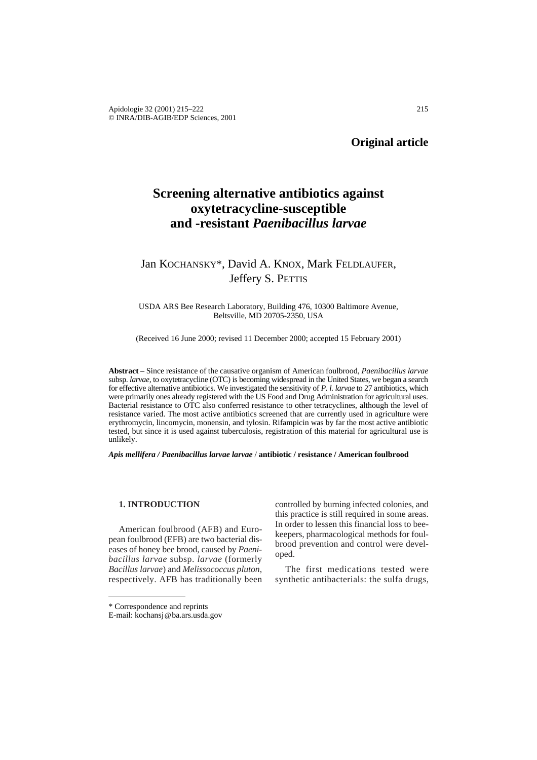# **Screening alternative antibiotics against oxytetracycline-susceptible and -resistant** *Paenibacillus larvae*

## Jan KOCHANSKY\*, David A. KNOX, Mark FELDLAUFER, Jeffery S. PETTIS

USDA ARS Bee Research Laboratory, Building 476, 10300 Baltimore Avenue, Beltsville, MD 20705-2350, USA

(Received 16 June 2000; revised 11 December 2000; accepted 15 February 2001)

**Abstract** – Since resistance of the causative organism of American foulbrood, *Paenibacillus larvae* subsp. *larvae,* to oxytetracycline (OTC) is becoming widespread in the United States, we began a search for effective alternative antibiotics. We investigated the sensitivity of *P. l. larvae* to 27 antibiotics, which were primarily ones already registered with the US Food and Drug Administration for agricultural uses. Bacterial resistance to OTC also conferred resistance to other tetracyclines, although the level of resistance varied. The most active antibiotics screened that are currently used in agriculture were erythromycin, lincomycin, monensin, and tylosin. Rifampicin was by far the most active antibiotic tested, but since it is used against tuberculosis, registration of this material for agricultural use is unlikely.

*Apis mellifera / Paenibacillus larvae larvae* / **antibiotic / resistance / American foulbrood**

#### **1. INTRODUCTION**

American foulbrood (AFB) and European foulbrood (EFB) are two bacterial diseases of honey bee brood, caused by *Paenibacillus larvae* subsp. *larvae* (formerly *Bacillus larvae*) and *Melissococcus pluton*, respectively. AFB has traditionally been controlled by burning infected colonies, and this practice is still required in some areas. In order to lessen this financial loss to beekeepers, pharmacological methods for foulbrood prevention and control were developed.

The first medications tested were synthetic antibacterials: the sulfa drugs,

<sup>\*</sup> Correspondence and reprints

E-mail: kochansj@ba.ars.usda.gov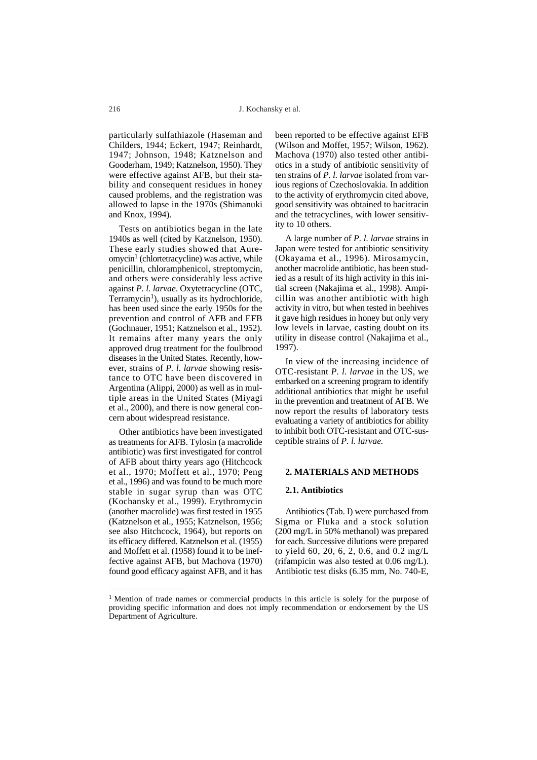particularly sulfathiazole (Haseman and Childers, 1944; Eckert, 1947; Reinhardt, 1947; Johnson, 1948; Katznelson and Gooderham, 1949; Katznelson, 1950). They were effective against AFB, but their stability and consequent residues in honey caused problems, and the registration was allowed to lapse in the 1970s (Shimanuki and Knox, 1994).

Tests on antibiotics began in the late 1940s as well (cited by Katznelson, 1950). These early studies showed that Aure $omycin<sup>1</sup>$  (chlortetracycline) was active, while penicillin, chloramphenicol, streptomycin, and others were considerably less active against *P. l. larvae*. Oxytetracycline (OTC, Terramycin<sup>1</sup>), usually as its hydrochloride, has been used since the early 1950s for the prevention and control of AFB and EFB (Gochnauer, 1951; Katznelson et al., 1952). It remains after many years the only approved drug treatment for the foulbrood diseases in the United States. Recently, however, strains of *P. l. larvae* showing resistance to OTC have been discovered in Argentina (Alippi, 2000) as well as in multiple areas in the United States (Miyagi et al., 2000), and there is now general concern about widespread resistance.

Other antibiotics have been investigated as treatments for AFB. Tylosin (a macrolide antibiotic) was first investigated for control of AFB about thirty years ago (Hitchcock et al., 1970; Moffett et al., 1970; Peng et al., 1996) and was found to be much more stable in sugar syrup than was OTC (Kochansky et al., 1999). Erythromycin (another macrolide) was first tested in 1955 (Katznelson et al., 1955; Katznelson, 1956; see also Hitchcock, 1964), but reports on its efficacy differed. Katznelson et al. (1955) and Moffett et al. (1958) found it to be ineffective against AFB, but Machova (1970) found good efficacy against AFB, and it has

been reported to be effective against EFB (Wilson and Moffet, 1957; Wilson, 1962). Machova (1970) also tested other antibiotics in a study of antibiotic sensitivity of ten strains of *P. l. larvae* isolated from various regions of Czechoslovakia. In addition to the activity of erythromycin cited above, good sensitivity was obtained to bacitracin and the tetracyclines, with lower sensitivity to 10 others.

A large number of *P. l. larvae* strains in Japan were tested for antibiotic sensitivity (Okayama et al., 1996). Mirosamycin, another macrolide antibiotic, has been studied as a result of its high activity in this initial screen (Nakajima et al., 1998). Ampicillin was another antibiotic with high activity in vitro, but when tested in beehives it gave high residues in honey but only very low levels in larvae, casting doubt on its utility in disease control (Nakajima et al., 1997).

In view of the increasing incidence of OTC-resistant *P. l. larvae* in the US, we embarked on a screening program to identify additional antibiotics that might be useful in the prevention and treatment of AFB. We now report the results of laboratory tests evaluating a variety of antibiotics for ability to inhibit both OTC-resistant and OTC-susceptible strains of *P. l. larvae.* 

#### **2. MATERIALS AND METHODS**

#### **2.1. Antibiotics**

Antibiotics (Tab. I) were purchased from Sigma or Fluka and a stock solution (200 mg/L in 50% methanol) was prepared for each. Successive dilutions were prepared to yield 60, 20, 6, 2, 0.6, and 0.2 mg/L (rifampicin was also tested at 0.06 mg/L). Antibiotic test disks (6.35 mm, No. 740-E,

<sup>&</sup>lt;sup>1</sup> Mention of trade names or commercial products in this article is solely for the purpose of providing specific information and does not imply recommendation or endorsement by the US Department of Agriculture.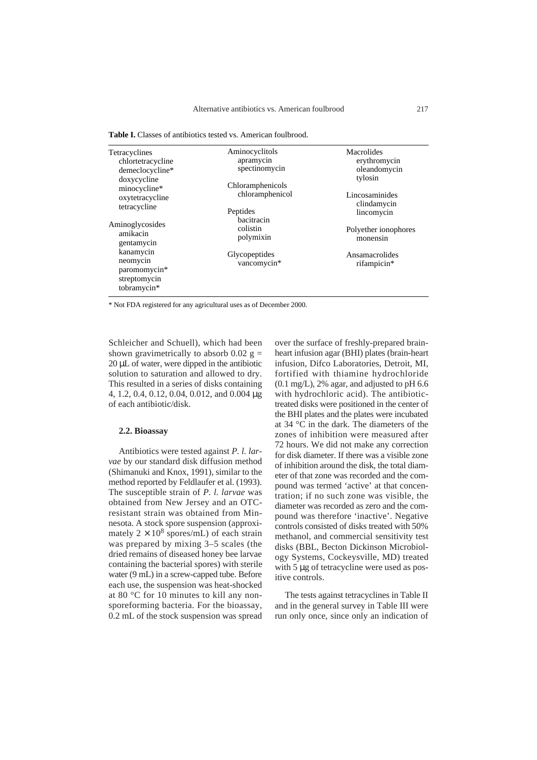Table I. Classes of antibiotics tested vs. American foulbrood.

| Tetracyclines<br>chlortetracycline<br>demeclocycline*<br>doxycycline<br>minocycline*<br>oxytetracycline<br>tetracycline<br>Aminoglycosides<br>amikacin<br>gentamycin<br>kanamycin<br>neomycin<br>paromomycin*<br>streptomycin<br>tobramycin* | Aminocyclitols<br>apramycin<br>spectinomycin    | Macrolides<br>erythromycin<br>oleandomycin<br>tylosin |  |  |
|----------------------------------------------------------------------------------------------------------------------------------------------------------------------------------------------------------------------------------------------|-------------------------------------------------|-------------------------------------------------------|--|--|
|                                                                                                                                                                                                                                              | Chloramphenicols<br>chloramphenicol<br>Peptides | Lincosaminides<br>clindamycin<br>lincomycin           |  |  |
|                                                                                                                                                                                                                                              | bacitracin<br>colistin<br>polymixin             | Polyether ionophores<br>monensin                      |  |  |
|                                                                                                                                                                                                                                              | Glycopeptides<br>vancomycin*                    | Ansamacrolides<br>rifampicin*                         |  |  |

\* Not FDA registered for any agricultural uses as of December 2000.

Schleicher and Schuell), which had been shown gravimetrically to absorb 0.02  $g =$ 20 µL of water, were dipped in the antibiotic solution to saturation and allowed to dry. This resulted in a series of disks containing 4, 1.2, 0.4, 0.12, 0.04, 0.012, and 0.004 µg of each antibiotic/disk.

#### **2.2. Bioassay**

Antibiotics were tested against *P. l. larvae* by our standard disk diffusion method (Shimanuki and Knox, 1991), similar to the method reported by Feldlaufer et al. (1993). The susceptible strain of *P. l. larvae* was obtained from New Jersey and an OTCresistant strain was obtained from Minnesota. A stock spore suspension (approximately  $2 \times 10^8$  spores/mL) of each strain was prepared by mixing 3–5 scales (the dried remains of diseased honey bee larvae containing the bacterial spores) with sterile water (9 mL) in a screw-capped tube. Before each use, the suspension was heat-shocked at 80 °C for 10 minutes to kill any nonsporeforming bacteria. For the bioassay, 0.2 mL of the stock suspension was spread over the surface of freshly-prepared brainheart infusion agar (BHI) plates (brain-heart infusion, Difco Laboratories, Detroit, MI, fortified with thiamine hydrochloride  $(0.1 \text{ mg/L})$ , 2% agar, and adjusted to pH 6.6 with hydrochloric acid). The antibiotictreated disks were positioned in the center of the BHI plates and the plates were incubated at 34 °C in the dark. The diameters of the zones of inhibition were measured after 72 hours. We did not make any correction for disk diameter. If there was a visible zone of inhibition around the disk, the total diameter of that zone was recorded and the compound was termed 'active' at that concentration; if no such zone was visible, the diameter was recorded as zero and the compound was therefore 'inactive'. Negative controls consisted of disks treated with 50% methanol, and commercial sensitivity test disks (BBL, Becton Dickinson Microbiology Systems, Cockeysville, MD) treated with 5 µg of tetracycline were used as positive controls.

The tests against tetracyclines in Table II and in the general survey in Table III were run only once, since only an indication of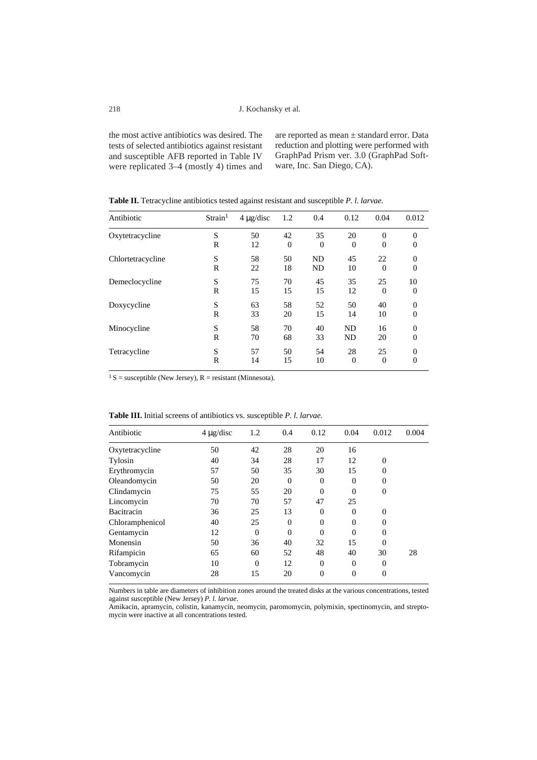the most active antibiotics was desired. The tests of selected antibiotics against resistant and susceptible AFB reported in Table IV were replicated 3–4 (mostly 4) times and

are reported as mean ± standard error. Data reduction and plotting were performed with GraphPad Prism ver. 3.0 (GraphPad Software, Inc. San Diego, CA).

| Antibiotic        | Strain <sup>1</sup> | $4 \mu$ g/disc | 1.2            | 0.4       | 0.12     | 0.04           | 0.012          |
|-------------------|---------------------|----------------|----------------|-----------|----------|----------------|----------------|
| Oxytetracycline   | S                   | 50             | 42             | 35        | 20       | $\overline{0}$ | $\theta$       |
|                   | R                   | 12             | $\overline{0}$ | $\theta$  | $\Omega$ | $\overline{0}$ | $\overline{0}$ |
| Chlortetracycline | S                   | 58             | 50             | <b>ND</b> | 45       | 22             | $\overline{0}$ |
|                   | R                   | 22             | 18             | <b>ND</b> | 10       | $\Omega$       | $\overline{0}$ |
| Demeclocycline    | S                   | 75             | 70             | 45        | 35       | 25             | 10             |
|                   | R                   | 15             | 15             | 15        | 12       | $\overline{0}$ | $\overline{0}$ |
| Doxycycline       | S                   | 63             | 58             | 52        | 50       | 40             | $\overline{0}$ |
|                   | R                   | 33             | 20             | 15        | 14       | 10             | $\overline{0}$ |
| Minocycline       | S                   | 58             | 70             | 40        | ND       | 16             | $\overline{0}$ |
|                   | R                   | 70             | 68             | 33        | ND       | 20             | $\Omega$       |
| Tetracycline      | S                   | 57             | 50             | 54        | 28       | 25             | $\overline{0}$ |
|                   | R                   | 14             | 15             | 10        | $\theta$ | $\overline{0}$ | $\overline{0}$ |

**Table II.** Tetracycline antibiotics tested against resistant and susceptible *P. l. larvae.*

 $1 S$  = susceptible (New Jersey), R = resistant (Minnesota).

| Antibiotic      | $4 \mu g/disc$ | 1.2            | 0.4            | 0.12           | 0.04     | 0.012            | 0.004 |
|-----------------|----------------|----------------|----------------|----------------|----------|------------------|-------|
| Oxytetracycline | 50             | 42             | 28             | 20             | 16       |                  |       |
| Tylosin         | 40             | 34             | 28             | 17             | 12       | $\overline{0}$   |       |
| Erythromycin    | 57             | 50             | 35             | 30             | 15       | $\boldsymbol{0}$ |       |
| Oleandomycin    | 50             | 20             | $\overline{0}$ | $\Omega$       | 0        | 0                |       |
| Clindamycin     | 75             | 55             | 20             | $\theta$       |          | $\overline{0}$   |       |
| Lincomycin      | 70             | 70             | 57             | 47             | 25       |                  |       |
| Bacitracin      | 36             | 25             | 13             | $\Omega$       | 0        | $\overline{0}$   |       |
| Chloramphenicol | 40             | 25             | $\theta$       | $\theta$       | $\theta$ | $\theta$         |       |
| Gentamycin      | 12             | $\overline{0}$ | $\overline{0}$ | $\Omega$       | 0        | $\theta$         |       |
| Monensin        | 50             | 36             | 40             | 32             | 15       | $\theta$         |       |
| Rifampicin      | 65             | 60             | 52             | 48             | 40       | 30               | 28    |
| Tobramycin      | 10             | $\overline{0}$ | 12             | $\overline{0}$ | $\Omega$ | $\overline{0}$   |       |
| Vancomycin      | 28             | 15             | 20             | $\theta$       | $\Omega$ | 0                |       |
|                 |                |                |                |                |          |                  |       |

**Table III.** Initial screens of antibiotics vs. susceptible *P. l. larvae.*

Numbers in table are diameters of inhibition zones around the treated disks at the various concentrations, tested against susceptible (New Jersey) *P. l. larvae*.

Amikacin, apramycin, colistin, kanamycin, neomycin, paromomycin, polymixin, spectinomycin, and streptomycin were inactive at all concentrations tested.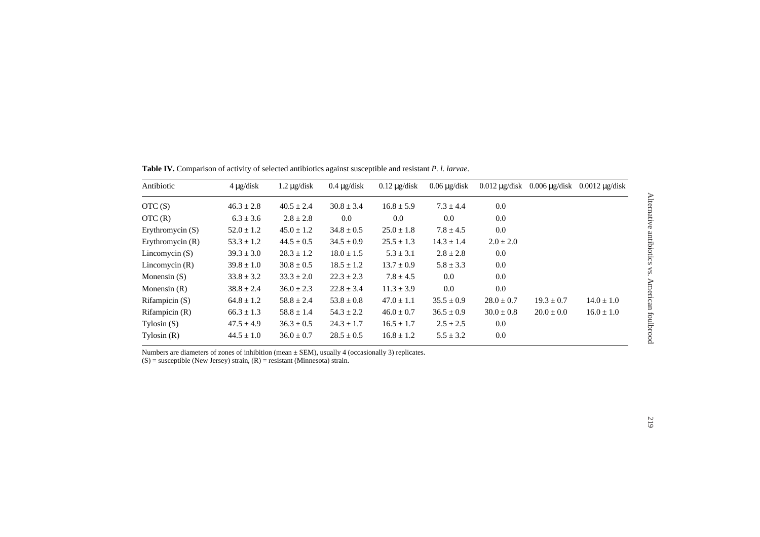| Antibiotic         | $4 \mu$ g/disk | $1.2 \mu$ g/disk | $0.4 \mu$ g/disk | $0.12 \mu$ g/disk | $0.06 \mu$ g/disk | $0.012 \mu$ g/disk | $0.006 \mu$ g/disk | $0.0012 \mu$ g/disk |
|--------------------|----------------|------------------|------------------|-------------------|-------------------|--------------------|--------------------|---------------------|
| OTC(S)             | $46.3 \pm 2.8$ | $40.5 \pm 2.4$   | $30.8 \pm 3.4$   | $16.8 \pm 5.9$    | $7.3 \pm 4.4$     | 0.0                |                    |                     |
| OTC(R)             | $6.3 \pm 3.6$  | $2.8 \pm 2.8$    | $0.0\,$          | 0.0               | 0.0               | 0.0                |                    |                     |
| Erythromycin $(S)$ | $52.0 \pm 1.2$ | $45.0 \pm 1.2$   | $34.8 \pm 0.5$   | $25.0 \pm 1.8$    | $7.8 \pm 4.5$     | 0.0                |                    |                     |
| Erythromycin $(R)$ | $53.3 \pm 1.2$ | $44.5 \pm 0.5$   | $34.5 \pm 0.9$   | $25.5 \pm 1.3$    | $14.3 \pm 1.4$    | $2.0 \pm 2.0$      |                    |                     |
| Lincomycin $(S)$   | $39.3 \pm 3.0$ | $28.3 \pm 1.2$   | $18.0 \pm 1.5$   | $5.3 \pm 3.1$     | $2.8 \pm 2.8$     | 0.0                |                    |                     |
| Lincomycin $(R)$   | $39.8 \pm 1.0$ | $30.8 \pm 0.5$   | $18.5 \pm 1.2$   | $13.7 \pm 0.9$    | $5.8 \pm 3.3$     | 0.0                |                    |                     |
| Monensin $(S)$     | $33.8 \pm 3.2$ | $33.3 \pm 2.0$   | $22.3 \pm 2.3$   | $7.8 \pm 4.5$     | 0.0               | 0.0                |                    |                     |
| Monensin $(R)$     | $38.8 \pm 2.4$ | $36.0 \pm 2.3$   | $22.8 \pm 3.4$   | $11.3 \pm 3.9$    | 0.0               | 0.0                |                    |                     |
| Rifampicin $(S)$   | $64.8 \pm 1.2$ | $58.8 \pm 2.4$   | $53.8 \pm 0.8$   | $47.0 \pm 1.1$    | $35.5 \pm 0.9$    | $28.0 \pm 0.7$     | $19.3 \pm 0.7$     | $14.0 \pm 1.0$      |
| Rifampicin $(R)$   | $66.3 \pm 1.3$ | $58.8 \pm 1.4$   | $54.3 \pm 2.2$   | $46.0 \pm 0.7$    | $36.5 \pm 0.9$    | $30.0 \pm 0.8$     | $20.0 \pm 0.0$     | $16.0 \pm 1.0$      |
| $Ty$ losin $(S)$   | $47.5 \pm 4.9$ | $36.3 \pm 0.5$   | $24.3 \pm 1.7$   | $16.5 \pm 1.7$    | $2.5 \pm 2.5$     | 0.0                |                    |                     |
| Tylosin $(R)$      | $44.5 \pm 1.0$ | $36.0 \pm 0.7$   | $28.5 \pm 0.5$   | $16.8 \pm 1.2$    | $5.5 \pm 3.2$     | 0.0                |                    |                     |

**Table IV.** Comparison of activity of selected antibiotics against susceptible and resistant *P. l. larvae*.

Numbers are diameters of zones of inhibition (mean  $\pm$  SEM), usually 4 (occasionally 3) replicates.

(S) = susceptible (New Jersey) strain, (R) = resistant (Minnesota) strain.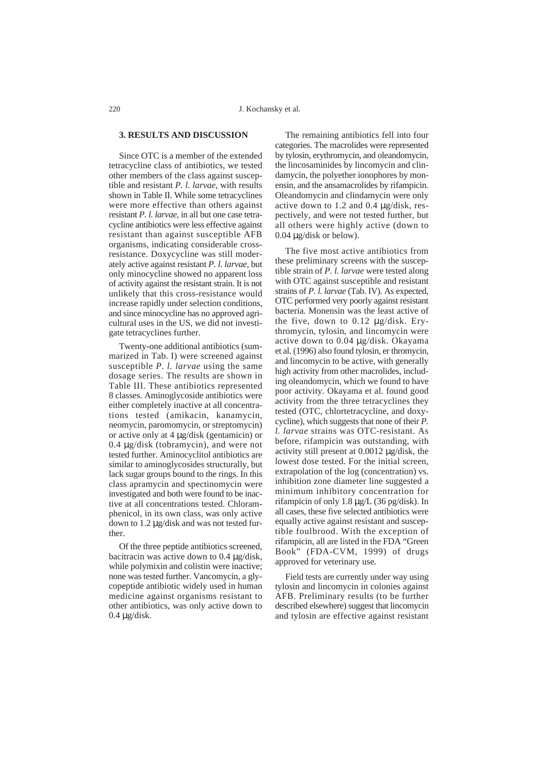#### **3. RESULTS AND DISCUSSION**

Since OTC is a member of the extended tetracycline class of antibiotics, we tested other members of the class against susceptible and resistant *P. l. larvae*, with results shown in Table II. While some tetracyclines were more effective than others against resistant *P. l. larvae*, in all but one case tetracycline antibiotics were less effective against resistant than against susceptible AFB organisms, indicating considerable crossresistance. Doxycycline was still moderately active against resistant *P. l. larvae*, but only minocycline showed no apparent loss of activity against the resistant strain. It is not unlikely that this cross-resistance would increase rapidly under selection conditions, and since minocycline has no approved agricultural uses in the US, we did not investigate tetracyclines further.

Twenty-one additional antibiotics (summarized in Tab. I) were screened against susceptible *P. l. larvae* using the same dosage series. The results are shown in Table III. These antibiotics represented 8 classes. Aminoglycoside antibiotics were either completely inactive at all concentrations tested (amikacin, kanamycin, neomycin, paromomycin, or streptomycin) or active only at 4 µg/disk (gentamicin) or 0.4 µg/disk (tobramycin), and were not tested further. Aminocyclitol antibiotics are similar to aminoglycosides structurally, but lack sugar groups bound to the rings. In this class apramycin and spectinomycin were investigated and both were found to be inactive at all concentrations tested. Chloramphenicol, in its own class, was only active down to 1.2 µg/disk and was not tested further.

Of the three peptide antibiotics screened, bacitracin was active down to 0.4 µg/disk, while polymixin and colistin were inactive; none was tested further. Vancomycin, a glycopeptide antibiotic widely used in human medicine against organisms resistant to other antibiotics, was only active down to  $0.4 \mu$ g/disk.

The remaining antibiotics fell into four categories. The macrolides were represented by tylosin, erythromycin, and oleandomycin, the lincosaminides by lincomycin and clindamycin, the polyether ionophores by monensin, and the ansamacrolides by rifampicin. Oleandomycin and clindamycin were only active down to 1.2 and 0.4 µg/disk, respectively, and were not tested further, but all others were highly active (down to 0.04 µg/disk or below).

The five most active antibiotics from these preliminary screens with the susceptible strain of *P. l. larvae* were tested along with OTC against susceptible and resistant strains of *P. l. larvae* (Tab. IV). As expected, OTC performed very poorly against resistant bacteria. Monensin was the least active of the five, down to 0.12 µg/disk. Erythromycin, tylosin, and lincomycin were active down to 0.04 µg/disk. Okayama et al. (1996) also found tylosin, er thromycin, and lincomycin to be active, with generally high activity from other macrolides, including oleandomycin, which we found to have poor activity. Okayama et al. found good activity from the three tetracyclines they tested (OTC, chlortetracycline, and doxycycline), which suggests that none of their *P. l. larvae* strains was OTC-resistant. As before, rifampicin was outstanding, with activity still present at 0.0012 µg/disk, the lowest dose tested. For the initial screen, extrapolation of the log (concentration) vs. inhibition zone diameter line suggested a minimum inhibitory concentration for rifampicin of only 1.8 µg/L (36 pg/disk). In all cases, these five selected antibiotics were equally active against resistant and susceptible foulbrood. With the exception of rifampicin, all are listed in the FDA "Green Book" (FDA-CVM, 1999) of drugs approved for veterinary use.

Field tests are currently under way using tylosin and lincomycin in colonies against AFB. Preliminary results (to be further described elsewhere) suggest that lincomycin and tylosin are effective against resistant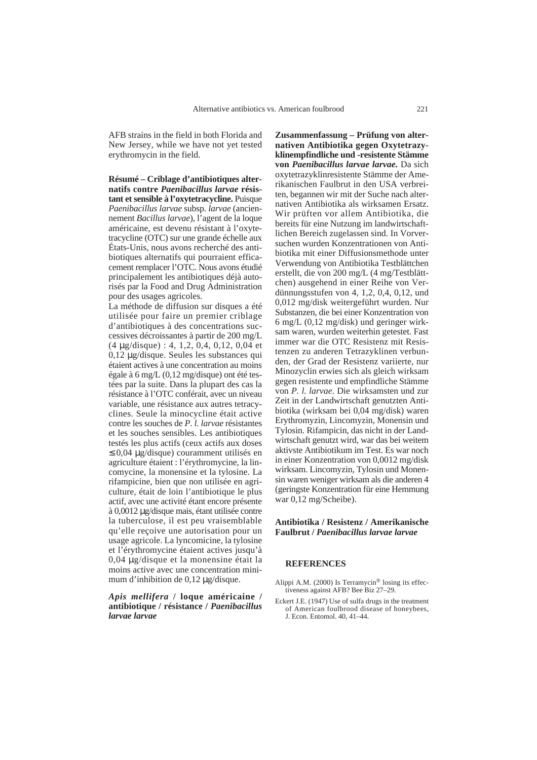AFB strains in the field in both Florida and New Jersey, while we have not yet tested erythromycin in the field.

**Résumé – Criblage d'antibiotiques alternatifs contre** *Paenibacillus larvae* **résistant et sensible à l'oxytetracycline.** Puisque *Paenibacillus larvae* subsp. *larvae* (anciennement *Bacillus larvae*), l'agent de la loque américaine, est devenu résistant à l'oxytetracycline (OTC) sur une grande échelle aux États-Unis, nous avons recherché des antibiotiques alternatifs qui pourraient efficacement remplacer l'OTC. Nous avons étudié principalement les antibiotiques déjà autorisés par la Food and Drug Administration pour des usages agricoles.

La méthode de diffusion sur disques a été utilisée pour faire un premier criblage d'antibiotiques à des concentrations successives décroissantes à partir de 200 mg/L (4 µg/disque) : 4, 1,2, 0,4, 0,12, 0,04 et 0,12 µg/disque. Seules les substances qui étaient actives à une concentration au moins égale à 6 mg/L (0,12 mg/disque) ont été testées par la suite. Dans la plupart des cas la résistance à l'OTC conférait, avec un niveau variable, une résistance aux autres tetracyclines. Seule la minocycline était active contre les souches de *P*. *l. larvae* résistantes et les souches sensibles. Les antibiotiques testés les plus actifs (ceux actifs aux doses ≤ 0,04 µg/disque) couramment utilisés en agriculture étaient : l'érythromycine, la lincomycine, la monensine et la tylosine. La rifampicine, bien que non utilisée en agriculture, était de loin l'antibiotique le plus actif, avec une activité étant encore présente à 0,0012 µg/disque mais, étant utilisée contre la tuberculose, il est peu vraisemblable qu'elle reçoive une autorisation pour un usage agricole. La lyncomicine, la tylosine et l'érythromycine étaient actives jusqu'à 0,04 µg/disque et la monensine était la moins active avec une concentration minimum d'inhibition de 0,12 µg/disque.

#### *Apis mellifera* **/ loque américaine / antibiotique / résistance /** *Paenibacillus larvae larvae*

**Zusammenfassung – Prüfung von alternativen Antibiotika gegen Oxytetrazyklinempfindliche und -resistente Stämme von** *Paenibacillus larvae larvae.* Da sich oxytetrazyklinresistente Stämme der Amerikanischen Faulbrut in den USA verbreiten, begannen wir mit der Suche nach alternativen Antibiotika als wirksamen Ersatz. Wir prüften vor allem Antibiotika, die bereits für eine Nutzung im landwirtschaftlichen Bereich zugelassen sind. In Vorversuchen wurden Konzentrationen von Antibiotika mit einer Diffusionsmethode unter Verwendung von Antibiotika Testblättchen erstellt, die von 200 mg/L (4 mg/Testblättchen) ausgehend in einer Reihe von Verdünnungsstufen von 4, 1,2, 0,4, 0,12, und 0,012 mg/disk weitergeführt wurden. Nur Substanzen, die bei einer Konzentration von 6 mg/L (0,12 mg/disk) und geringer wirksam waren, wurden weiterhin getestet. Fast immer war die OTC Resistenz mit Resistenzen zu anderen Tetrazyklinen verbunden, der Grad der Resistenz variierte, nur Minozyclin erwies sich als gleich wirksam gegen resistente und empfindliche Stämme von *P. l. larvae*. Die wirksamsten und zur Zeit in der Landwirtschaft genutzten Antibiotika (wirksam bei 0,04 mg/disk) waren Erythromyzin, Lincomyzin, Monensin und Tylosin. Rifampicin, das nicht in der Landwirtschaft genutzt wird, war das bei weitem aktivste Antibiotikum im Test. Es war noch in einer Konzentration von 0,0012 mg/disk wirksam. Lincomyzin, Tylosin und Monensin waren weniger wirksam als die anderen 4 (geringste Konzentration für eine Hemmung war 0,12 mg/Scheibe).

### **Antibiotika / Resistenz / Amerikanische Faulbrut /** *Paenibacillus larvae larvae*

#### **REFERENCES**

- Alippi A.M. (2000) Is Terramycin® losing its effectiveness against AFB? Bee Biz 27–29.
- Eckert J.E. (1947) Use of sulfa drugs in the treatment of American foulbrood disease of honeybees, J. Econ. Entomol. 40, 41–44.